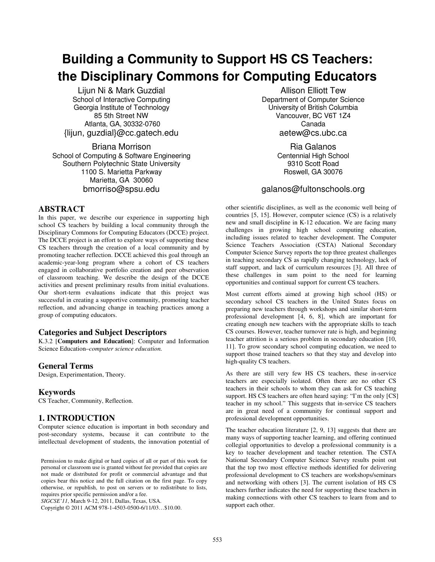# **Building a Community to Support HS CS Teachers: the Disciplinary Commons for Computing Educators**

Lijun Ni & Mark Guzdial School of Interactive Computing Georgia Institute of Technology 85 5th Street NW Atlanta, GA, 30332-0760 {lijun, guzdial}@cc.gatech.edu

Briana Morrison School of Computing & Software Engineering Southern Polytechnic State University 1100 S. Marietta Parkway Marietta, GA 30060 bmorriso@spsu.edu

#### **ABSTRACT**

In this paper, we describe our experience in supporting high school CS teachers by building a local community through the Disciplinary Commons for Computing Educators (DCCE) project. The DCCE project is an effort to explore ways of supporting these CS teachers through the creation of a local community and by promoting teacher reflection. DCCE achieved this goal through an academic-year-long program where a cohort of CS teachers engaged in collaborative portfolio creation and peer observation of classroom teaching. We describe the design of the DCCE activities and present preliminary results from initial evaluations. Our short-term evaluations indicate that this project was successful in creating a supportive community, promoting teacher reflection, and advancing change in teaching practices among a group of computing educators.

#### **Categories and Subject Descriptors**

K.3.2 [**Computers and Education**]: Computer and Information Science Education–*computer science education.* 

#### **General Terms**

Design, Experimentation, Theory.

#### **Keywords**

CS Teacher, Community, Reflection.

## **1. INTRODUCTION**

Computer science education is important in both secondary and post-secondary systems, because it can contribute to the intellectual development of students, the innovation potential of

Permission to make digital or hard copies of all or part of this work for personal or classroom use is granted without fee provided that copies are not made or distributed for profit or commercial advantage and that copies bear this notice and the full citation on the first page. To copy otherwise, or republish, to post on servers or to redistribute to lists, requires prior specific permission and/or a fee.

*SIGCSE'11*, March 9-12, 2011, Dallas, Texas, USA.

Copyright © 2011 ACM 978-1-4503-0500-6/11/03…\$10.00.

Allison Elliott Tew Department of Computer Science University of British Columbia Vancouver, BC V6T 1Z4 Canada aetew@cs.ubc.ca

> Ria Galanos Centennial High School 9310 Scott Road Roswell, GA 30076

## galanos@fultonschools.org

other scientific disciplines, as well as the economic well being of countries [5, 15]. However, computer science (CS) is a relatively new and small discipline in K-12 education. We are facing many challenges in growing high school computing education, including issues related to teacher development. The Computer Science Teachers Association (CSTA) National Secondary Computer Science Survey reports the top three greatest challenges in teaching secondary CS as rapidly changing technology, lack of staff support, and lack of curriculum resources [3]. All three of these challenges in sum point to the need for learning opportunities and continual support for current CS teachers.

Most current efforts aimed at growing high school (HS) or secondary school CS teachers in the United States focus on preparing new teachers through workshops and similar short-term professional development [4, 6, 8], which are important for creating enough new teachers with the appropriate skills to teach CS courses. However, teacher turnover rate is high, and beginning teacher attrition is a serious problem in secondary education [10, 11]. To grow secondary school computing education, we need to support those trained teachers so that they stay and develop into high-quality CS teachers.

As there are still very few HS CS teachers, these in-service teachers are especially isolated. Often there are no other CS teachers in their schools to whom they can ask for CS teaching support. HS CS teachers are often heard saying: "I'm the only [CS] teacher in my school." This suggests that in-service CS teachers are in great need of a community for continual support and professional development opportunities.

The teacher education literature [2, 9, 13] suggests that there are many ways of supporting teacher learning, and offering continued collegial opportunities to develop a professional community is a key to teacher development and teacher retention. The CSTA National Secondary Computer Science Survey results point out that the top two most effective methods identified for delivering professional development to CS teachers are workshops/seminars and networking with others [3]. The current isolation of HS CS teachers further indicates the need for supporting these teachers in making connections with other CS teachers to learn from and to support each other.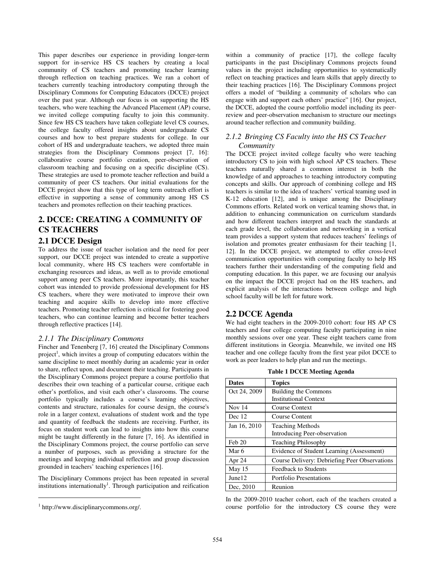This paper describes our experience in providing longer-term support for in-service HS CS teachers by creating a local community of CS teachers and promoting teacher learning through reflection on teaching practices. We ran a cohort of teachers currently teaching introductory computing through the Disciplinary Commons for Computing Educators (DCCE) project over the past year. Although our focus is on supporting the HS teachers, who were teaching the Advanced Placement (AP) course, we invited college computing faculty to join this community. Since few HS CS teachers have taken collegiate level CS courses, the college faculty offered insights about undergraduate CS courses and how to best prepare students for college. In our cohort of HS and undergraduate teachers, we adopted three main strategies from the Disciplinary Commons project [7, 16]: collaborative course portfolio creation, peer-observation of classroom teaching and focusing on a specific discipline (CS). These strategies are used to promote teacher reflection and build a community of peer CS teachers. Our initial evaluations for the DCCE project show that this type of long term outreach effort is effective in supporting a sense of community among HS CS teachers and promotes reflection on their teaching practices.

# **2. DCCE: CREATING A COMMUNITY OF CS TEACHERS**

## **2.1 DCCE Design**

To address the issue of teacher isolation and the need for peer support, our DCCE project was intended to create a supportive local community, where HS CS teachers were comfortable in exchanging resources and ideas, as well as to provide emotional support among peer CS teachers. More importantly, this teacher cohort was intended to provide professional development for HS CS teachers, where they were motivated to improve their own teaching and acquire skills to develop into more effective teachers. Promoting teacher reflection is critical for fostering good teachers, who can continue learning and become better teachers through reflective practices [14].

#### *2.1.1 The Disciplinary Commons*

Fincher and Tenenberg [7, 16] created the Disciplinary Commons project<sup>1</sup>, which invites a group of computing educators within the same discipline to meet monthly during an academic year in order to share, reflect upon, and document their teaching. Participants in the Disciplinary Commons project prepare a course portfolio that describes their own teaching of a particular course, critique each other's portfolios, and visit each other's classrooms. The course portfolio typically includes a course's learning objectives, contents and structure, rationales for course design, the course's role in a larger context, evaluations of student work and the type and quantity of feedback the students are receiving. Further, its focus on student work can lead to insights into how this course might be taught differently in the future [7, 16]. As identified in the Disciplinary Commons project, the course portfolio can serve a number of purposes, such as providing a structure for the meetings and keeping individual reflection and group discussion grounded in teachers' teaching experiences [16].

The Disciplinary Commons project has been repeated in several institutions internationally<sup>1</sup>. Through participation and reification

1

within a community of practice [17], the college faculty participants in the past Disciplinary Commons projects found values in the project including opportunities to systematically reflect on teaching practices and learn skills that apply directly to their teaching practices [16]. The Disciplinary Commons project offers a model of "building a community of scholars who can engage with and support each others' practice" [16]. Our project, the DCCE, adopted the course portfolio model including its peerreview and peer-observation mechanism to structure our meetings around teacher reflection and community building.

#### *2.1.2 Bringing CS Faculty into the HS CS Teacher Community*

The DCCE project invited college faculty who were teaching introductory CS to join with high school AP CS teachers. These teachers naturally shared a common interest in both the knowledge of and approaches to teaching introductory computing concepts and skills. Our approach of combining college and HS teachers is similar to the idea of teachers' vertical teaming used in K-12 education [12], and is unique among the Disciplinary Commons efforts. Related work on vertical teaming shows that, in addition to enhancing communication on curriculum standards and how different teachers interpret and teach the standards at each grade level, the collaboration and networking in a vertical team provides a support system that reduces teachers' feelings of isolation and promotes greater enthusiasm for their teaching [1, 12]. In the DCCE project, we attempted to offer cross-level communication opportunities with computing faculty to help HS teachers further their understanding of the computing field and computing education. In this paper, we are focusing our analysis on the impact the DCCE project had on the HS teachers, and explicit analysis of the interactions between college and high school faculty will be left for future work.

## **2.2 DCCE Agenda**

We had eight teachers in the 2009-2010 cohort: four HS AP CS teachers and four college computing faculty participating in nine monthly sessions over one year. These eight teachers came from different institutions in Georgia. Meanwhile, we invited one HS teacher and one college faculty from the first year pilot DCCE to work as peer leaders to help plan and run the meetings.

| <b>Dates</b> | <b>Topics</b>                                 |
|--------------|-----------------------------------------------|
| Oct 24, 2009 | Building the Commons                          |
|              | <b>Institutional Context</b>                  |
| Nov $14$     | Course Context                                |
| Dec 12       | Course Content                                |
| Jan 16, 2010 | <b>Teaching Methods</b>                       |
|              | Introducing Peer-observation                  |
| Feb 20       | <b>Teaching Philosophy</b>                    |
| Mar 6        | Evidence of Student Learning (Assessment)     |
| Apr 24       | Course Delivery: Debriefing Peer Observations |
| May 15       | <b>Feedback to Students</b>                   |
| June12       | <b>Portfolio Presentations</b>                |
| Dec, 2010    | Reunion                                       |

**Table 1 DCCE Meeting Agenda** 

In the 2009-2010 teacher cohort, each of the teachers created a course portfolio for the introductory CS course they were

<sup>1</sup> http://www.disciplinarycommons.org/.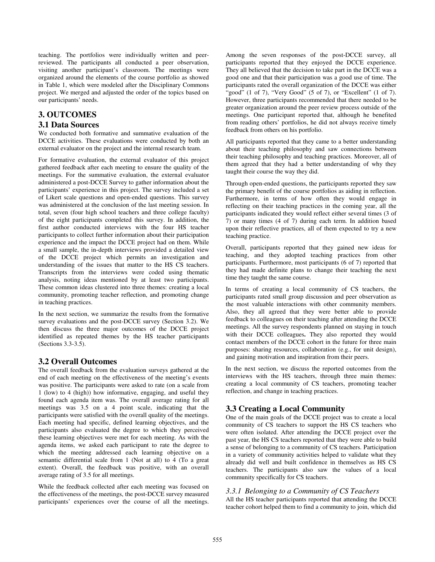teaching. The portfolios were individually written and peerreviewed. The participants all conducted a peer observation, visiting another participant's classroom. The meetings were organized around the elements of the course portfolio as showed in Table 1, which were modeled after the Disciplinary Commons project. We merged and adjusted the order of the topics based on our participants' needs.

## **3. OUTCOMES**

#### **3.1 Data Sources**

We conducted both formative and summative evaluation of the DCCE activities. These evaluations were conducted by both an external evaluator on the project and the internal research team.

For formative evaluation, the external evaluator of this project gathered feedback after each meeting to ensure the quality of the meetings. For the summative evaluation, the external evaluator administered a post-DCCE Survey to gather information about the participants' experience in this project. The survey included a set of Likert scale questions and open-ended questions. This survey was administered at the conclusion of the last meeting session. In total, seven (four high school teachers and three college faculty) of the eight participants completed this survey. In addition, the first author conducted interviews with the four HS teacher participants to collect further information about their participation experience and the impact the DCCE project had on them. While a small sample, the in-depth interviews provided a detailed view of the DCCE project which permits an investigation and understanding of the issues that matter to the HS CS teachers. Transcripts from the interviews were coded using thematic analysis, noting ideas mentioned by at least two participants. These common ideas clustered into three themes: creating a local community, promoting teacher reflection, and promoting change in teaching practices.

In the next section, we summarize the results from the formative survey evaluations and the post-DCCE survey (Section 3.2). We then discuss the three major outcomes of the DCCE project identified as repeated themes by the HS teacher participants (Sections 3.3-3.5).

#### **3.2 Overall Outcomes**

The overall feedback from the evaluation surveys gathered at the end of each meeting on the effectiveness of the meeting's events was positive. The participants were asked to rate (on a scale from 1 (low) to 4 (high)) how informative, engaging, and useful they found each agenda item was. The overall average rating for all meetings was 3.5 on a 4 point scale, indicating that the participants were satisfied with the overall quality of the meetings. Each meeting had specific, defined learning objectives, and the participants also evaluated the degree to which they perceived these learning objectives were met for each meeting. As with the agenda items, we asked each participant to rate the degree to which the meeting addressed each learning objective on a semantic differential scale from 1 (Not at all) to 4 (To a great extent). Overall, the feedback was positive, with an overall average rating of 3.5 for all meetings.

While the feedback collected after each meeting was focused on the effectiveness of the meetings, the post-DCCE survey measured participants' experiences over the course of all the meetings.

Among the seven responses of the post-DCCE survey, all participants reported that they enjoyed the DCCE experience. They all believed that the decision to take part in the DCCE was a good one and that their participation was a good use of time. The participants rated the overall organization of the DCCE was either "good" (1 of 7), "Very Good" (5 of 7), or "Excellent" (1 of 7). However, three participants recommended that there needed to be greater organization around the peer review process outside of the meetings. One participant reported that, although he benefited from reading others' portfolios, he did not always receive timely feedback from others on his portfolio.

All participants reported that they came to a better understanding about their teaching philosophy and saw connections between their teaching philosophy and teaching practices. Moreover, all of them agreed that they had a better understanding of why they taught their course the way they did.

Through open-ended questions, the participants reported they saw the primary benefit of the course portfolios as aiding in reflection. Furthermore, in terms of how often they would engage in reflecting on their teaching practices in the coming year, all the participants indicated they would reflect either several times (3 of 7) or many times (4 of 7) during each term. In addition based upon their reflective practices, all of them expected to try a new teaching practice.

Overall, participants reported that they gained new ideas for teaching, and they adopted teaching practices from other participants. Furthermore, most participants (6 of 7) reported that they had made definite plans to change their teaching the next time they taught the same course.

In terms of creating a local community of CS teachers, the participants rated small group discussion and peer observation as the most valuable interactions with other community members. Also, they all agreed that they were better able to provide feedback to colleagues on their teaching after attending the DCCE meetings. All the survey respondents planned on staying in touch with their DCCE colleagues**.** They also reported they would contact members of the DCCE cohort in the future for three main purposes: sharing resources, collaboration (e.g., for unit design), and gaining motivation and inspiration from their peers.

In the next section, we discuss the reported outcomes from the interviews with the HS teachers, through three main themes: creating a local community of CS teachers, promoting teacher reflection, and change in teaching practices.

## **3.3 Creating a Local Community**

One of the main goals of the DCCE project was to create a local community of CS teachers to support the HS CS teachers who were often isolated. After attending the DCCE project over the past year, the HS CS teachers reported that they were able to build a sense of belonging to a community of CS teachers. Participation in a variety of community activities helped to validate what they already did well and built confidence in themselves as HS CS teachers. The participants also saw the values of a local community specifically for CS teachers.

#### *3.3.1 Belonging to a Community of CS Teachers*

All the HS teacher participants reported that attending the DCCE teacher cohort helped them to find a community to join, which did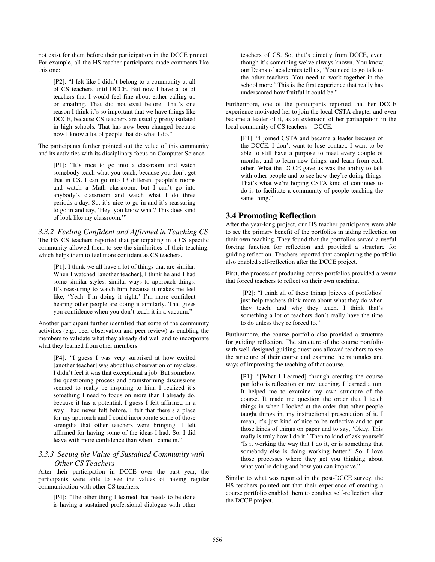not exist for them before their participation in the DCCE project. For example, all the HS teacher participants made comments like this one:

[P2]: "I felt like I didn't belong to a community at all of CS teachers until DCCE. But now I have a lot of teachers that I would feel fine about either calling up or emailing. That did not exist before. That's one reason I think it's so important that we have things like DCCE, because CS teachers are usually pretty isolated in high schools. That has now been changed because now I know a lot of people that do what I do."

The participants further pointed out the value of this community and its activities with its disciplinary focus on Computer Science.

[P1]: "It's nice to go into a classroom and watch somebody teach what you teach, because you don't get that in CS. I can go into 13 different people's rooms and watch a Math classroom, but I can't go into anybody's classroom and watch what I do three periods a day. So, it's nice to go in and it's reassuring to go in and say, 'Hey, you know what? This does kind of look like my classroom.'"

*3.3.2 Feeling Confident and Affirmed in Teaching CS*  The HS CS teachers reported that participating in a CS specific community allowed them to see the similarities of their teaching, which helps them to feel more confident as CS teachers.

[P1]: I think we all have a lot of things that are similar. When I watched [another teacher], I think he and I had some similar styles, similar ways to approach things. It's reassuring to watch him because it makes me feel like, 'Yeah. I'm doing it right.' I'm more confident hearing other people are doing it similarly. That gives you confidence when you don't teach it in a vacuum."

Another participant further identified that some of the community activities (e.g., peer observation and peer review) as enabling the members to validate what they already did well and to incorporate what they learned from other members.

[P4]: "I guess I was very surprised at how excited [another teacher] was about his observation of my class. I didn't feel it was that exceptional a job. But somehow the questioning process and brainstorming discussions seemed to really be inspiring to him. I realized it's something I need to focus on more than I already do, because it has a potential. I guess I felt affirmed in a way I had never felt before. I felt that there's a place for my approach and I could incorporate some of those strengths that other teachers were bringing. I felt affirmed for having some of the ideas I had. So, I did leave with more confidence than when I came in."

### *3.3.3 Seeing the Value of Sustained Community with Other CS Teachers*

After their participation in DCCE over the past year, the participants were able to see the values of having regular communication with other CS teachers.

[P4]: "The other thing I learned that needs to be done is having a sustained professional dialogue with other

teachers of CS. So, that's directly from DCCE, even though it's something we've always known. You know, our Deans of academics tell us, 'You need to go talk to the other teachers. You need to work together in the school more.' This is the first experience that really has underscored how fruitful it could be."

Furthermore, one of the participants reported that her DCCE experience motivated her to join the local CSTA chapter and even became a leader of it, as an extension of her participation in the local community of CS teachers—DCCE.

[P1]: "I joined CSTA and became a leader because of the DCCE. I don't want to lose contact. I want to be able to still have a purpose to meet every couple of months, and to learn new things, and learn from each other. What the DCCE gave us was the ability to talk with other people and to see how they're doing things. That's what we're hoping CSTA kind of continues to do is to facilitate a community of people teaching the same thing."

## **3.4 Promoting Reflection**

After the year-long project, our HS teacher participants were able to see the primary benefit of the portfolios in aiding reflection on their own teaching. They found that the portfolios served a useful forcing function for reflection and provided a structure for guiding reflection. Teachers reported that completing the portfolio also enabled self-reflection after the DCCE project.

First, the process of producing course portfolios provided a venue that forced teachers to reflect on their own teaching.

 [P2]: "I think all of these things [pieces of portfolios] just help teachers think more about what they do when they teach, and why they teach. I think that's something a lot of teachers don't really have the time to do unless they're forced to."

Furthermore, the course portfolio also provided a structure for guiding reflection. The structure of the course portfolio with well-designed guiding questions allowed teachers to see the structure of their course and examine the rationales and ways of improving the teaching of that course.

[P1]: "[What I Learned] through creating the course portfolio is reflection on my teaching. I learned a ton. It helped me to examine my own structure of the course. It made me question the order that I teach things in when I looked at the order that other people taught things in, my instructional presentation of it. I mean, it's just kind of nice to be reflective and to put those kinds of things on paper and to say, 'Okay. This really is truly how I do it.' Then to kind of ask yourself, 'Is it working the way that I do it, or is something that somebody else is doing working better?' So, I love those processes where they get you thinking about what you're doing and how you can improve."

Similar to what was reported in the post-DCCE survey, the HS teachers pointed out that their experience of creating a course portfolio enabled them to conduct self-reflection after the DCCE project.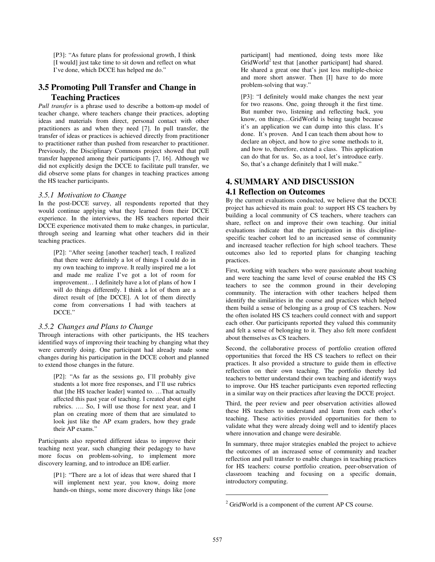[P3]: "As future plans for professional growth, I think [I would] just take time to sit down and reflect on what I've done, which DCCE has helped me do."

## **3.5 Promoting Pull Transfer and Change in Teaching Practices**

*Pull transfer* is a phrase used to describe a bottom-up model of teacher change, where teachers change their practices, adopting ideas and materials from direct, personal contact with other practitioners as and when they need [7]. In pull transfer, the transfer of ideas or practices is achieved directly from practitioner to practitioner rather than pushed from researcher to practitioner. Previously, the Disciplinary Commons project showed that pull transfer happened among their participants [7, 16]. Although we did not explicitly design the DCCE to facilitate pull transfer, we did observe some plans for changes in teaching practices among the HS teacher participants.

#### *3.5.1 Motivation to Change*

In the post-DCCE survey, all respondents reported that they would continue applying what they learned from their DCCE experience. In the interviews, the HS teachers reported their DCCE experience motivated them to make changes, in particular, through seeing and learning what other teachers did in their teaching practices.

[P2]: "After seeing [another teacher] teach, I realized that there were definitely a lot of things I could do in my own teaching to improve. It really inspired me a lot and made me realize I've got a lot of room for improvement… I definitely have a lot of plans of how I will do things differently. I think a lot of them are a direct result of [the DCCE]. A lot of them directly come from conversations I had with teachers at DCCE."

#### *3.5.2 Changes and Plans to Change*

Through interactions with other participants, the HS teachers identified ways of improving their teaching by changing what they were currently doing. One participant had already made some changes during his participation in the DCCE cohort and planned to extend those changes in the future.

[P2]: "As far as the sessions go, I'll probably give students a lot more free responses, and I'll use rubrics that [the HS teacher leader] wanted to. …That actually affected this past year of teaching. I created about eight rubrics. …. So, I will use those for next year, and I plan on creating more of them that are simulated to look just like the AP exam graders, how they grade their AP exams."

Participants also reported different ideas to improve their teaching next year, such changing their pedagogy to have more focus on problem-solving, to implement more discovery learning, and to introduce an IDE earlier.

[P1]: "There are a lot of ideas that were shared that I will implement next year, you know, doing more hands-on things, some more discovery things like [one participant] had mentioned, doing tests more like GridWorld<sup>2</sup> test that [another participant] had shared. He shared a great one that's just less multiple-choice and more short answer. Then [I] have to do more problem-solving that way."

[P3]: "I definitely would make changes the next year for two reasons. One, going through it the first time. But number two, listening and reflecting back, you know, on things…GridWorld is being taught because it's an application we can dump into this class. It's done. It's proven. And I can teach them about how to declare an object, and how to give some methods to it, and how to, therefore, extend a class. This application can do that for us. So, as a tool, let's introduce early. So, that's a change definitely that I will make."

## **4. SUMMARY AND DISCUSSION 4.1 Reflection on Outcomes**

By the current evaluations conducted, we believe that the DCCE project has achieved its main goal: to support HS CS teachers by building a local community of CS teachers, where teachers can share, reflect on and improve their own teaching. Our initial evaluations indicate that the participation in this disciplinespecific teacher cohort led to an increased sense of community and increased teacher reflection for high school teachers. These outcomes also led to reported plans for changing teaching practices.

First, working with teachers who were passionate about teaching and were teaching the same level of course enabled the HS CS teachers to see the common ground in their developing community. The interaction with other teachers helped them identify the similarities in the course and practices which helped them build a sense of belonging as a group of CS teachers. Now the often isolated HS CS teachers could connect with and support each other. Our participants reported they valued this community and felt a sense of belonging to it. They also felt more confident about themselves as CS teachers.

Second, the collaborative process of portfolio creation offered opportunities that forced the HS CS teachers to reflect on their practices. It also provided a structure to guide them in effective reflection on their own teaching. The portfolio thereby led teachers to better understand their own teaching and identify ways to improve. Our HS teacher participants even reported reflecting in a similar way on their practices after leaving the DCCE project.

Third, the peer review and peer observation activities allowed these HS teachers to understand and learn from each other's teaching. These activities provided opportunities for them to validate what they were already doing well and to identify places where innovation and change were desirable.

In summary, three major strategies enabled the project to achieve the outcomes of an increased sense of community and teacher reflection and pull transfer to enable changes in teaching practices for HS teachers: course portfolio creation, peer-observation of classroom teaching and focusing on a specific domain, introductory computing.

1

 $2^2$  GridWorld is a component of the current AP CS course.